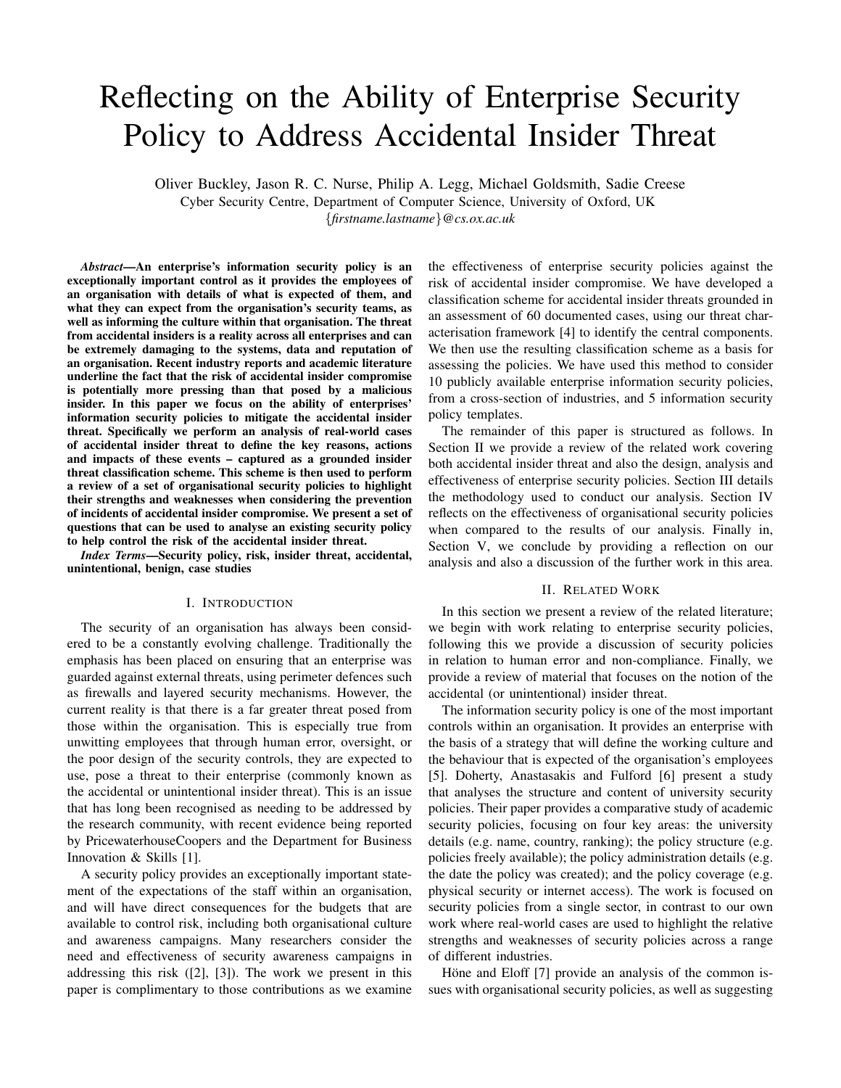# Reflecting on the Ability of Enterprise Security Policy to Address Accidental Insider Threat

Oliver Buckley, Jason R. C. Nurse, Philip A. Legg, Michael Goldsmith, Sadie Creese Cyber Security Centre, Department of Computer Science, University of Oxford, UK {*firstname.lastname*}*@cs.ox.ac.uk*

*Abstract*—An enterprise's information security policy is an exceptionally important control as it provides the employees of an organisation with details of what is expected of them, and what they can expect from the organisation's security teams, as well as informing the culture within that organisation. The threat from accidental insiders is a reality across all enterprises and can be extremely damaging to the systems, data and reputation of an organisation. Recent industry reports and academic literature underline the fact that the risk of accidental insider compromise is potentially more pressing than that posed by a malicious insider. In this paper we focus on the ability of enterprises' information security policies to mitigate the accidental insider threat. Specifically we perform an analysis of real-world cases of accidental insider threat to define the key reasons, actions and impacts of these events – captured as a grounded insider threat classification scheme. This scheme is then used to perform a review of a set of organisational security policies to highlight their strengths and weaknesses when considering the prevention of incidents of accidental insider compromise. We present a set of questions that can be used to analyse an existing security policy to help control the risk of the accidental insider threat.

*Index Terms*—Security policy, risk, insider threat, accidental, unintentional, benign, case studies

# I. INTRODUCTION

The security of an organisation has always been considered to be a constantly evolving challenge. Traditionally the emphasis has been placed on ensuring that an enterprise was guarded against external threats, using perimeter defences such as firewalls and layered security mechanisms. However, the current reality is that there is a far greater threat posed from those within the organisation. This is especially true from unwitting employees that through human error, oversight, or the poor design of the security controls, they are expected to use, pose a threat to their enterprise (commonly known as the accidental or unintentional insider threat). This is an issue that has long been recognised as needing to be addressed by the research community, with recent evidence being reported by PricewaterhouseCoopers and the Department for Business Innovation & Skills [1].

A security policy provides an exceptionally important statement of the expectations of the staff within an organisation, and will have direct consequences for the budgets that are available to control risk, including both organisational culture and awareness campaigns. Many researchers consider the need and effectiveness of security awareness campaigns in addressing this risk ([2], [3]). The work we present in this paper is complimentary to those contributions as we examine the effectiveness of enterprise security policies against the risk of accidental insider compromise. We have developed a classification scheme for accidental insider threats grounded in an assessment of 60 documented cases, using our threat characterisation framework [4] to identify the central components. We then use the resulting classification scheme as a basis for assessing the policies. We have used this method to consider 10 publicly available enterprise information security policies, from a cross-section of industries, and 5 information security policy templates.

The remainder of this paper is structured as follows. In Section II we provide a review of the related work covering both accidental insider threat and also the design, analysis and effectiveness of enterprise security policies. Section III details the methodology used to conduct our analysis. Section IV reflects on the effectiveness of organisational security policies when compared to the results of our analysis. Finally in, Section V, we conclude by providing a reflection on our analysis and also a discussion of the further work in this area.

#### II. RELATED WORK

In this section we present a review of the related literature; we begin with work relating to enterprise security policies, following this we provide a discussion of security policies in relation to human error and non-compliance. Finally, we provide a review of material that focuses on the notion of the accidental (or unintentional) insider threat.

The information security policy is one of the most important controls within an organisation. It provides an enterprise with the basis of a strategy that will define the working culture and the behaviour that is expected of the organisation's employees [5]. Doherty, Anastasakis and Fulford [6] present a study that analyses the structure and content of university security policies. Their paper provides a comparative study of academic security policies, focusing on four key areas: the university details (e.g. name, country, ranking); the policy structure (e.g. policies freely available); the policy administration details (e.g. the date the policy was created); and the policy coverage (e.g. physical security or internet access). The work is focused on security policies from a single sector, in contrast to our own work where real-world cases are used to highlight the relative strengths and weaknesses of security policies across a range of different industries.

Höne and Eloff [7] provide an analysis of the common issues with organisational security policies, as well as suggesting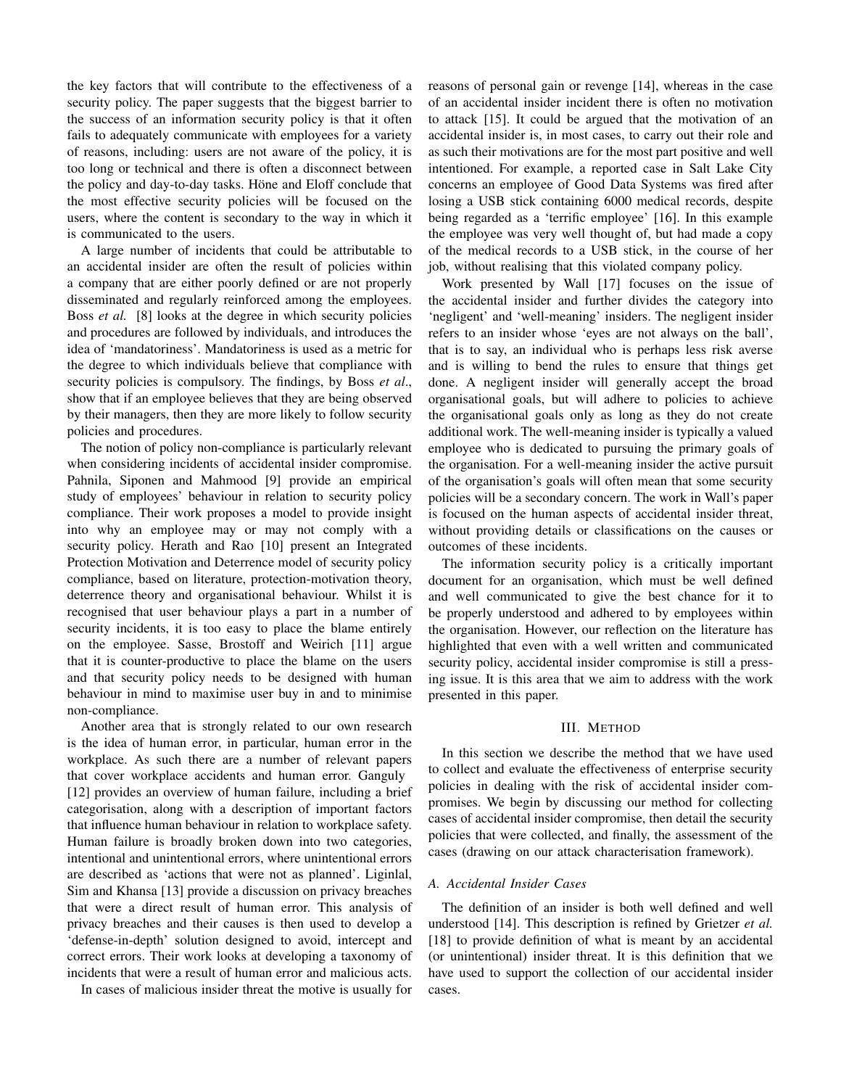the key factors that will contribute to the effectiveness of a security policy. The paper suggests that the biggest barrier to the success of an information security policy is that it often fails to adequately communicate with employees for a variety of reasons, including: users are not aware of the policy, it is too long or technical and there is often a disconnect between the policy and day-to-day tasks. Höne and Eloff conclude that the most effective security policies will be focused on the users, where the content is secondary to the way in which it is communicated to the users.

A large number of incidents that could be attributable to an accidental insider are often the result of policies within a company that are either poorly defined or are not properly disseminated and regularly reinforced among the employees. Boss *et al.* [8] looks at the degree in which security policies and procedures are followed by individuals, and introduces the idea of 'mandatoriness'. Mandatoriness is used as a metric for the degree to which individuals believe that compliance with security policies is compulsory. The findings, by Boss *et al*., show that if an employee believes that they are being observed by their managers, then they are more likely to follow security policies and procedures.

The notion of policy non-compliance is particularly relevant when considering incidents of accidental insider compromise. Pahnila, Siponen and Mahmood [9] provide an empirical study of employees' behaviour in relation to security policy compliance. Their work proposes a model to provide insight into why an employee may or may not comply with a security policy. Herath and Rao [10] present an Integrated Protection Motivation and Deterrence model of security policy compliance, based on literature, protection-motivation theory, deterrence theory and organisational behaviour. Whilst it is recognised that user behaviour plays a part in a number of security incidents, it is too easy to place the blame entirely on the employee. Sasse, Brostoff and Weirich [11] argue that it is counter-productive to place the blame on the users and that security policy needs to be designed with human behaviour in mind to maximise user buy in and to minimise non-compliance.

Another area that is strongly related to our own research is the idea of human error, in particular, human error in the workplace. As such there are a number of relevant papers that cover workplace accidents and human error. Ganguly [12] provides an overview of human failure, including a brief categorisation, along with a description of important factors that influence human behaviour in relation to workplace safety. Human failure is broadly broken down into two categories, intentional and unintentional errors, where unintentional errors are described as 'actions that were not as planned'. Liginlal, Sim and Khansa [13] provide a discussion on privacy breaches that were a direct result of human error. This analysis of privacy breaches and their causes is then used to develop a 'defense-in-depth' solution designed to avoid, intercept and correct errors. Their work looks at developing a taxonomy of incidents that were a result of human error and malicious acts.

In cases of malicious insider threat the motive is usually for

reasons of personal gain or revenge [14], whereas in the case of an accidental insider incident there is often no motivation to attack [15]. It could be argued that the motivation of an accidental insider is, in most cases, to carry out their role and as such their motivations are for the most part positive and well intentioned. For example, a reported case in Salt Lake City concerns an employee of Good Data Systems was fired after losing a USB stick containing 6000 medical records, despite being regarded as a 'terrific employee' [16]. In this example the employee was very well thought of, but had made a copy of the medical records to a USB stick, in the course of her job, without realising that this violated company policy.

Work presented by Wall [17] focuses on the issue of the accidental insider and further divides the category into 'negligent' and 'well-meaning' insiders. The negligent insider refers to an insider whose 'eyes are not always on the ball', that is to say, an individual who is perhaps less risk averse and is willing to bend the rules to ensure that things get done. A negligent insider will generally accept the broad organisational goals, but will adhere to policies to achieve the organisational goals only as long as they do not create additional work. The well-meaning insider is typically a valued employee who is dedicated to pursuing the primary goals of the organisation. For a well-meaning insider the active pursuit of the organisation's goals will often mean that some security policies will be a secondary concern. The work in Wall's paper is focused on the human aspects of accidental insider threat, without providing details or classifications on the causes or outcomes of these incidents.

The information security policy is a critically important document for an organisation, which must be well defined and well communicated to give the best chance for it to be properly understood and adhered to by employees within the organisation. However, our reflection on the literature has highlighted that even with a well written and communicated security policy, accidental insider compromise is still a pressing issue. It is this area that we aim to address with the work presented in this paper.

#### III. METHOD

In this section we describe the method that we have used to collect and evaluate the effectiveness of enterprise security policies in dealing with the risk of accidental insider compromises. We begin by discussing our method for collecting cases of accidental insider compromise, then detail the security policies that were collected, and finally, the assessment of the cases (drawing on our attack characterisation framework).

#### *A. Accidental Insider Cases*

The definition of an insider is both well defined and well understood [14]. This description is refined by Grietzer *et al.* [18] to provide definition of what is meant by an accidental (or unintentional) insider threat. It is this definition that we have used to support the collection of our accidental insider cases.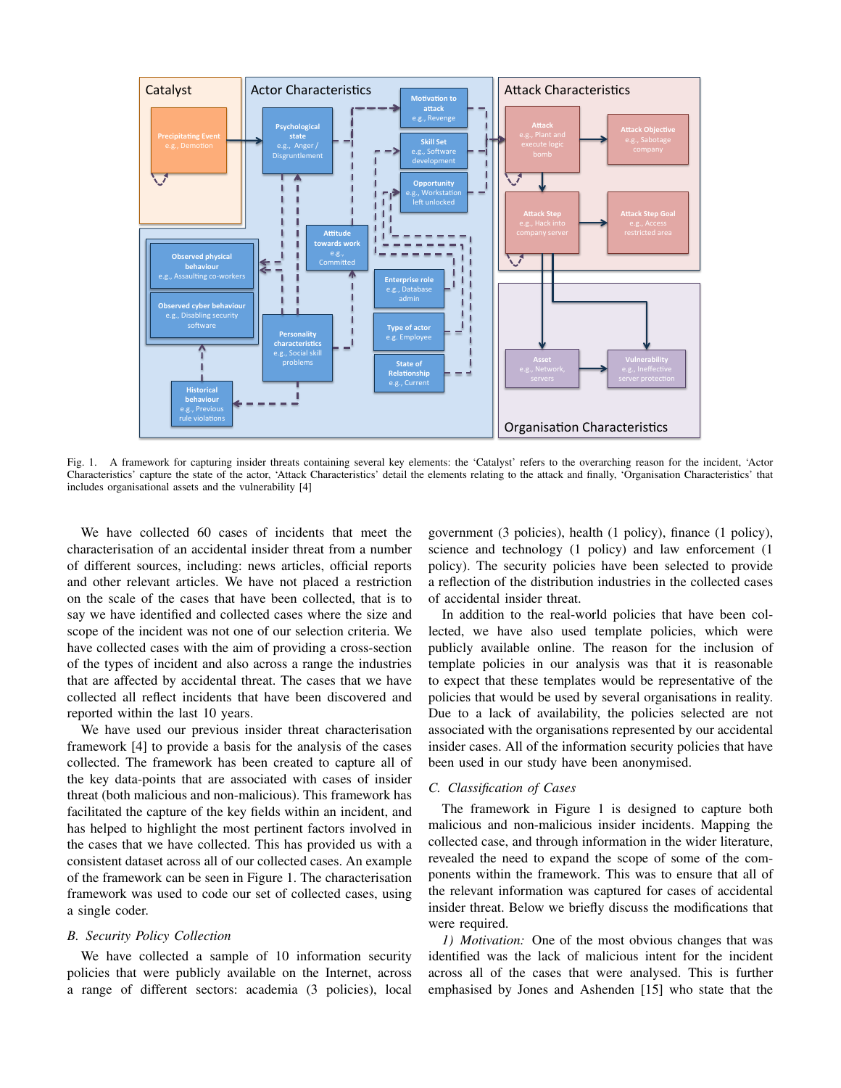

Fig. 1. A framework for capturing insider threats containing several key elements: the 'Catalyst' refers to the overarching reason for the incident, 'Actor Characteristics' capture the state of the actor, 'Attack Characteristics' detail the elements relating to the attack and finally, 'Organisation Characteristics' that includes organisational assets and the vulnerability [4]

We have collected 60 cases of incidents that meet the characterisation of an accidental insider threat from a number of different sources, including: news articles, official reports and other relevant articles. We have not placed a restriction on the scale of the cases that have been collected, that is to say we have identified and collected cases where the size and scope of the incident was not one of our selection criteria. We have collected cases with the aim of providing a cross-section of the types of incident and also across a range the industries that are affected by accidental threat. The cases that we have collected all reflect incidents that have been discovered and reported within the last 10 years.

We have used our previous insider threat characterisation framework [4] to provide a basis for the analysis of the cases collected. The framework has been created to capture all of the key data-points that are associated with cases of insider threat (both malicious and non-malicious). This framework has facilitated the capture of the key fields within an incident, and has helped to highlight the most pertinent factors involved in the cases that we have collected. This has provided us with a consistent dataset across all of our collected cases. An example of the framework can be seen in Figure 1. The characterisation framework was used to code our set of collected cases, using a single coder.

## *B. Security Policy Collection*

We have collected a sample of 10 information security policies that were publicly available on the Internet, across a range of different sectors: academia (3 policies), local government (3 policies), health (1 policy), finance (1 policy), science and technology (1 policy) and law enforcement (1 policy). The security policies have been selected to provide a reflection of the distribution industries in the collected cases of accidental insider threat.

In addition to the real-world policies that have been collected, we have also used template policies, which were publicly available online. The reason for the inclusion of template policies in our analysis was that it is reasonable to expect that these templates would be representative of the policies that would be used by several organisations in reality. Due to a lack of availability, the policies selected are not associated with the organisations represented by our accidental insider cases. All of the information security policies that have been used in our study have been anonymised.

# *C. Classification of Cases*

The framework in Figure 1 is designed to capture both malicious and non-malicious insider incidents. Mapping the collected case, and through information in the wider literature, revealed the need to expand the scope of some of the components within the framework. This was to ensure that all of the relevant information was captured for cases of accidental insider threat. Below we briefly discuss the modifications that were required.

*1) Motivation:* One of the most obvious changes that was identified was the lack of malicious intent for the incident across all of the cases that were analysed. This is further emphasised by Jones and Ashenden [15] who state that the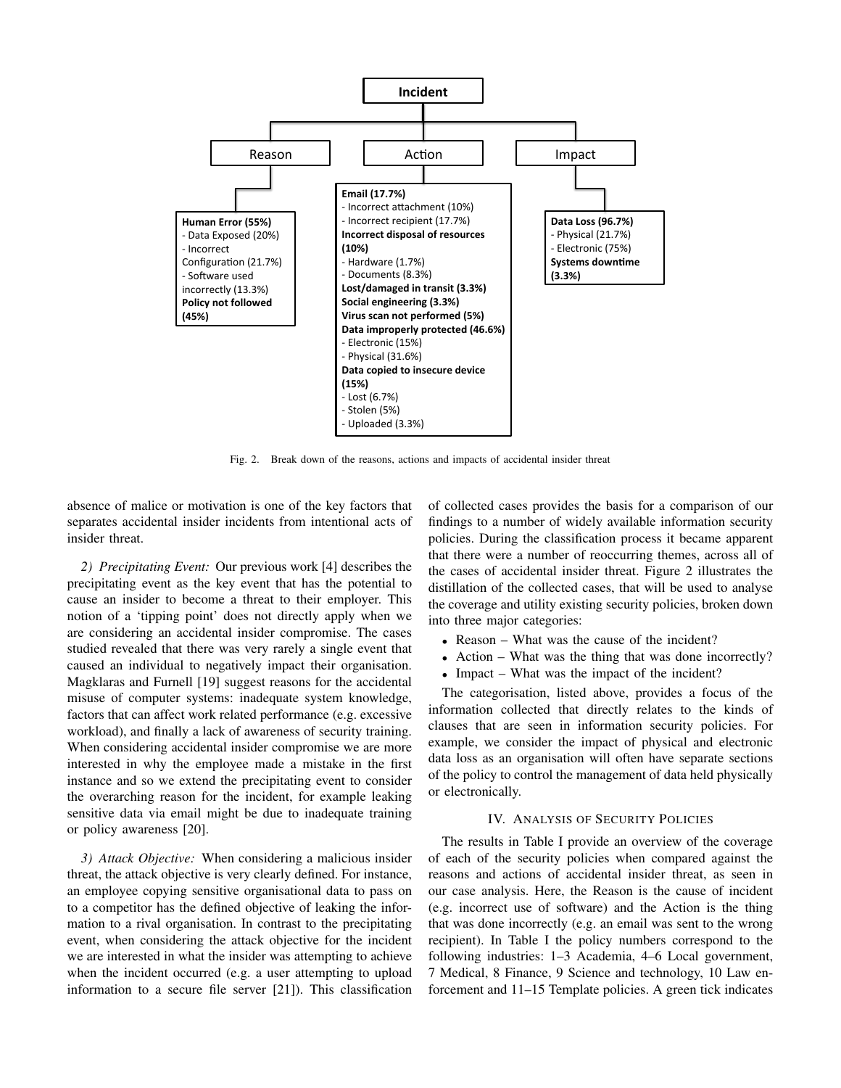

Fig. 2. Break down of the reasons, actions and impacts of accidental insider threat

absence of malice or motivation is one of the key factors that separates accidental insider incidents from intentional acts of insider threat.

*2) Precipitating Event:* Our previous work [4] describes the precipitating event as the key event that has the potential to cause an insider to become a threat to their employer. This notion of a 'tipping point' does not directly apply when we are considering an accidental insider compromise. The cases studied revealed that there was very rarely a single event that caused an individual to negatively impact their organisation. Magklaras and Furnell [19] suggest reasons for the accidental misuse of computer systems: inadequate system knowledge, factors that can affect work related performance (e.g. excessive workload), and finally a lack of awareness of security training. When considering accidental insider compromise we are more interested in why the employee made a mistake in the first instance and so we extend the precipitating event to consider the overarching reason for the incident, for example leaking sensitive data via email might be due to inadequate training or policy awareness [20].

*3) Attack Objective:* When considering a malicious insider threat, the attack objective is very clearly defined. For instance, an employee copying sensitive organisational data to pass on to a competitor has the defined objective of leaking the information to a rival organisation. In contrast to the precipitating event, when considering the attack objective for the incident we are interested in what the insider was attempting to achieve when the incident occurred (e.g. a user attempting to upload information to a secure file server [21]). This classification

of collected cases provides the basis for a comparison of our findings to a number of widely available information security policies. During the classification process it became apparent that there were a number of reoccurring themes, across all of the cases of accidental insider threat. Figure 2 illustrates the distillation of the collected cases, that will be used to analyse the coverage and utility existing security policies, broken down into three major categories:

- Reason What was the cause of the incident?
- Action What was the thing that was done incorrectly?
- Impact What was the impact of the incident?

The categorisation, listed above, provides a focus of the information collected that directly relates to the kinds of clauses that are seen in information security policies. For example, we consider the impact of physical and electronic data loss as an organisation will often have separate sections of the policy to control the management of data held physically or electronically.

# IV. ANALYSIS OF SECURITY POLICIES

The results in Table I provide an overview of the coverage of each of the security policies when compared against the reasons and actions of accidental insider threat, as seen in our case analysis. Here, the Reason is the cause of incident (e.g. incorrect use of software) and the Action is the thing that was done incorrectly (e.g. an email was sent to the wrong recipient). In Table I the policy numbers correspond to the following industries: 1–3 Academia, 4–6 Local government, 7 Medical, 8 Finance, 9 Science and technology, 10 Law enforcement and 11–15 Template policies. A green tick indicates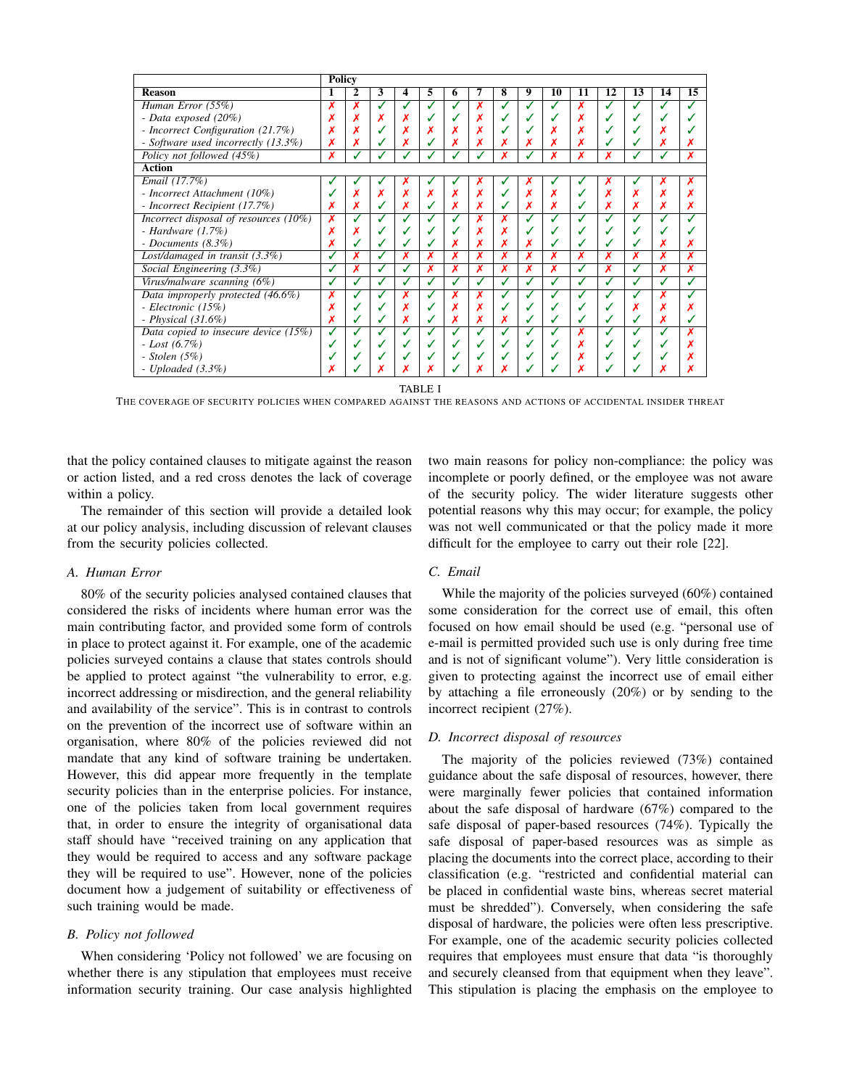|                                          | <b>Policy</b>           |                |              |   |   |   |              |              |              |    |              |              |    |    |    |
|------------------------------------------|-------------------------|----------------|--------------|---|---|---|--------------|--------------|--------------|----|--------------|--------------|----|----|----|
| <b>Reason</b>                            |                         | $\overline{2}$ | 3            | 4 | 5 | 6 | 7            | 8            | 9            | 10 | 11           | 12           | 13 | 14 | 15 |
| Human Error (55%)                        | X                       | Х              | √            |   |   |   | Х            |              |              |    | Х            | J            |    |    |    |
| - Data exposed (20%)                     |                         |                | Х            |   |   |   |              |              |              |    | Х            | $\checkmark$ |    |    |    |
| - Incorrect Configuration (21.7%)        | Х                       |                | √            |   |   | Х |              |              |              |    | Х            | $\checkmark$ |    |    |    |
| - Software used incorrectly (13.3%)      | Х                       |                | $\checkmark$ |   |   | Х |              | Х            |              |    | Х            | $\checkmark$ |    |    |    |
| Policy not followed (45%)                | $\overline{\mathbf{x}}$ |                | $\checkmark$ |   |   | ✓ |              | Х            |              | Х  | Х            | Х            |    |    | Х  |
| Action                                   |                         |                |              |   |   |   |              |              |              |    |              |              |    |    |    |
| Email (17.7%)                            |                         |                |              |   |   |   |              |              |              |    |              | ↗            |    |    |    |
| - Incorrect Attachment (10%)             |                         | Х              | Х            | Х |   | Х |              |              | х            |    |              | Х            |    |    |    |
| - Incorrect Recipient (17.7%)            | Х                       | Х              | $\checkmark$ | х |   | Х |              | $\checkmark$ | Х            | х  | $\checkmark$ | Х            | х  |    |    |
| Incorrect disposal of resources $(10\%)$ | Х                       |                | ✓            |   |   | ℐ |              | х            |              |    |              | $\checkmark$ |    |    |    |
| - Hardware $(1.7\%)$                     | Х                       |                |              |   |   |   |              | Х            |              |    |              |              |    |    |    |
| - Documents $(8.3\%)$                    | Х                       |                |              |   |   | х |              | Х            |              |    |              | $\checkmark$ |    |    |    |
| Lost/damaged in transit $(3.3\%)$        | J                       | Х              |              | Х |   | Х | Х            | Х            | Х            |    | Х            | Х            | X  |    | Х  |
| Social Engineering (3.3%)                | ✓                       | Х              |              |   | x | Х | Х            | Х            | х            |    |              | Х            |    |    | Х  |
| Virus/malware scanning (6%)              | ✓                       |                | $\checkmark$ |   |   | ✓ | $\checkmark$ | ✓            |              |    |              | J            |    |    |    |
| Data improperly protected (46.6%)        | Х                       |                | $\checkmark$ |   |   | Х |              | $\checkmark$ |              |    |              | $\checkmark$ |    |    |    |
| - Electronic (15%)                       | Х                       |                |              |   |   | Х |              | √            |              |    |              | $\checkmark$ |    |    |    |
| - Physical $(31.6\%)$                    | Х                       |                | $\checkmark$ | х |   | Х | Х            | Х            | $\checkmark$ |    | $\checkmark$ | ✓            |    |    |    |
| Data copied to insecure device $(15\%)$  | ✓                       |                |              |   |   | ℐ |              |              |              |    | Х            | ✓            |    |    |    |
| $-$ Lost (6.7%)                          |                         |                |              |   |   |   |              |              |              |    | Х            | J            |    |    |    |
| $-$ Stolen (5%)                          |                         |                |              |   |   |   |              |              |              |    | Х            |              |    |    |    |
| - Uploaded $(3.3\%)$                     |                         |                |              |   |   |   |              |              |              |    |              |              |    |    |    |

TABLE I

THE COVERAGE OF SECURITY POLICIES WHEN COMPARED AGAINST THE REASONS AND ACTIONS OF ACCIDENTAL INSIDER THREAT

that the policy contained clauses to mitigate against the reason or action listed, and a red cross denotes the lack of coverage within a policy.

The remainder of this section will provide a detailed look at our policy analysis, including discussion of relevant clauses from the security policies collected.

## *A. Human Error*

80% of the security policies analysed contained clauses that considered the risks of incidents where human error was the main contributing factor, and provided some form of controls in place to protect against it. For example, one of the academic policies surveyed contains a clause that states controls should be applied to protect against "the vulnerability to error, e.g. incorrect addressing or misdirection, and the general reliability and availability of the service". This is in contrast to controls on the prevention of the incorrect use of software within an organisation, where 80% of the policies reviewed did not mandate that any kind of software training be undertaken. However, this did appear more frequently in the template security policies than in the enterprise policies. For instance, one of the policies taken from local government requires that, in order to ensure the integrity of organisational data staff should have "received training on any application that they would be required to access and any software package they will be required to use". However, none of the policies document how a judgement of suitability or effectiveness of such training would be made.

## *B. Policy not followed*

When considering 'Policy not followed' we are focusing on whether there is any stipulation that employees must receive information security training. Our case analysis highlighted two main reasons for policy non-compliance: the policy was incomplete or poorly defined, or the employee was not aware of the security policy. The wider literature suggests other potential reasons why this may occur; for example, the policy was not well communicated or that the policy made it more difficult for the employee to carry out their role [22].

## *C. Email*

While the majority of the policies surveyed (60%) contained some consideration for the correct use of email, this often focused on how email should be used (e.g. "personal use of e-mail is permitted provided such use is only during free time and is not of significant volume"). Very little consideration is given to protecting against the incorrect use of email either by attaching a file erroneously (20%) or by sending to the incorrect recipient (27%).

#### *D. Incorrect disposal of resources*

The majority of the policies reviewed (73%) contained guidance about the safe disposal of resources, however, there were marginally fewer policies that contained information about the safe disposal of hardware (67%) compared to the safe disposal of paper-based resources (74%). Typically the safe disposal of paper-based resources was as simple as placing the documents into the correct place, according to their classification (e.g. "restricted and confidential material can be placed in confidential waste bins, whereas secret material must be shredded"). Conversely, when considering the safe disposal of hardware, the policies were often less prescriptive. For example, one of the academic security policies collected requires that employees must ensure that data "is thoroughly and securely cleansed from that equipment when they leave". This stipulation is placing the emphasis on the employee to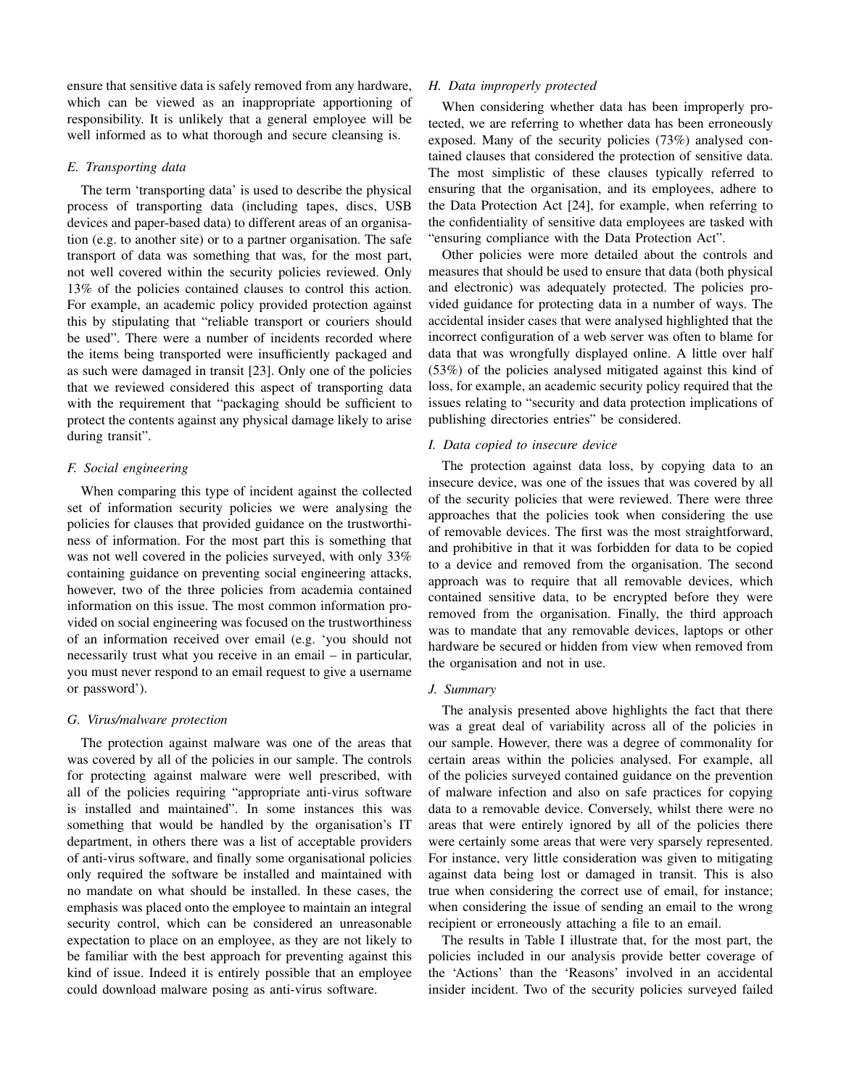ensure that sensitive data is safely removed from any hardware, which can be viewed as an inappropriate apportioning of responsibility. It is unlikely that a general employee will be well informed as to what thorough and secure cleansing is.

# *E. Transporting data*

The term 'transporting data' is used to describe the physical process of transporting data (including tapes, discs, USB devices and paper-based data) to different areas of an organisation (e.g. to another site) or to a partner organisation. The safe transport of data was something that was, for the most part, not well covered within the security policies reviewed. Only 13% of the policies contained clauses to control this action. For example, an academic policy provided protection against this by stipulating that "reliable transport or couriers should be used". There were a number of incidents recorded where the items being transported were insufficiently packaged and as such were damaged in transit [23]. Only one of the policies that we reviewed considered this aspect of transporting data with the requirement that "packaging should be sufficient to protect the contents against any physical damage likely to arise during transit".

# *F. Social engineering*

When comparing this type of incident against the collected set of information security policies we were analysing the policies for clauses that provided guidance on the trustworthiness of information. For the most part this is something that was not well covered in the policies surveyed, with only 33% containing guidance on preventing social engineering attacks, however, two of the three policies from academia contained information on this issue. The most common information provided on social engineering was focused on the trustworthiness of an information received over email (e.g. 'you should not necessarily trust what you receive in an email – in particular, you must never respond to an email request to give a username or password').

## *G. Virus/malware protection*

The protection against malware was one of the areas that was covered by all of the policies in our sample. The controls for protecting against malware were well prescribed, with all of the policies requiring "appropriate anti-virus software is installed and maintained". In some instances this was something that would be handled by the organisation's IT department, in others there was a list of acceptable providers of anti-virus software, and finally some organisational policies only required the software be installed and maintained with no mandate on what should be installed. In these cases, the emphasis was placed onto the employee to maintain an integral security control, which can be considered an unreasonable expectation to place on an employee, as they are not likely to be familiar with the best approach for preventing against this kind of issue. Indeed it is entirely possible that an employee could download malware posing as anti-virus software.

## *H. Data improperly protected*

When considering whether data has been improperly protected, we are referring to whether data has been erroneously exposed. Many of the security policies (73%) analysed contained clauses that considered the protection of sensitive data. The most simplistic of these clauses typically referred to ensuring that the organisation, and its employees, adhere to the Data Protection Act [24], for example, when referring to the confidentiality of sensitive data employees are tasked with "ensuring compliance with the Data Protection Act".

Other policies were more detailed about the controls and measures that should be used to ensure that data (both physical and electronic) was adequately protected. The policies provided guidance for protecting data in a number of ways. The accidental insider cases that were analysed highlighted that the incorrect configuration of a web server was often to blame for data that was wrongfully displayed online. A little over half (53%) of the policies analysed mitigated against this kind of loss, for example, an academic security policy required that the issues relating to "security and data protection implications of publishing directories entries" be considered.

## *I. Data copied to insecure device*

The protection against data loss, by copying data to an insecure device, was one of the issues that was covered by all of the security policies that were reviewed. There were three approaches that the policies took when considering the use of removable devices. The first was the most straightforward, and prohibitive in that it was forbidden for data to be copied to a device and removed from the organisation. The second approach was to require that all removable devices, which contained sensitive data, to be encrypted before they were removed from the organisation. Finally, the third approach was to mandate that any removable devices, laptops or other hardware be secured or hidden from view when removed from the organisation and not in use.

# *J. Summary*

The analysis presented above highlights the fact that there was a great deal of variability across all of the policies in our sample. However, there was a degree of commonality for certain areas within the policies analysed. For example, all of the policies surveyed contained guidance on the prevention of malware infection and also on safe practices for copying data to a removable device. Conversely, whilst there were no areas that were entirely ignored by all of the policies there were certainly some areas that were very sparsely represented. For instance, very little consideration was given to mitigating against data being lost or damaged in transit. This is also true when considering the correct use of email, for instance; when considering the issue of sending an email to the wrong recipient or erroneously attaching a file to an email.

The results in Table I illustrate that, for the most part, the policies included in our analysis provide better coverage of the 'Actions' than the 'Reasons' involved in an accidental insider incident. Two of the security policies surveyed failed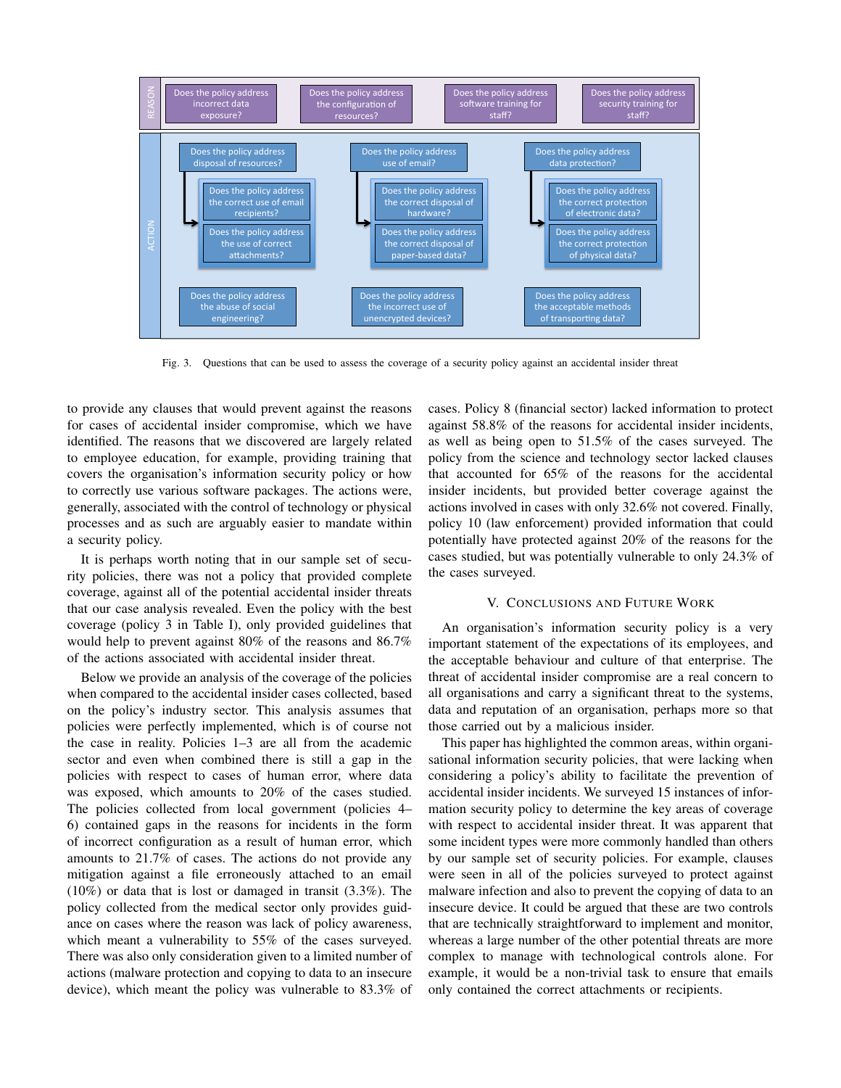

Fig. 3. Questions that can be used to assess the coverage of a security policy against an accidental insider threat

to provide any clauses that would prevent against the reasons for cases of accidental insider compromise, which we have identified. The reasons that we discovered are largely related to employee education, for example, providing training that covers the organisation's information security policy or how to correctly use various software packages. The actions were, generally, associated with the control of technology or physical processes and as such are arguably easier to mandate within a security policy.

It is perhaps worth noting that in our sample set of security policies, there was not a policy that provided complete coverage, against all of the potential accidental insider threats that our case analysis revealed. Even the policy with the best coverage (policy 3 in Table I), only provided guidelines that would help to prevent against 80% of the reasons and 86.7% of the actions associated with accidental insider threat.

Below we provide an analysis of the coverage of the policies when compared to the accidental insider cases collected, based on the policy's industry sector. This analysis assumes that policies were perfectly implemented, which is of course not the case in reality. Policies 1–3 are all from the academic sector and even when combined there is still a gap in the policies with respect to cases of human error, where data was exposed, which amounts to 20% of the cases studied. The policies collected from local government (policies 4– 6) contained gaps in the reasons for incidents in the form of incorrect configuration as a result of human error, which amounts to 21.7% of cases. The actions do not provide any mitigation against a file erroneously attached to an email (10%) or data that is lost or damaged in transit (3.3%). The policy collected from the medical sector only provides guidance on cases where the reason was lack of policy awareness, which meant a vulnerability to 55% of the cases surveyed. There was also only consideration given to a limited number of actions (malware protection and copying to data to an insecure device), which meant the policy was vulnerable to 83.3% of

cases. Policy 8 (financial sector) lacked information to protect against 58.8% of the reasons for accidental insider incidents, as well as being open to 51.5% of the cases surveyed. The policy from the science and technology sector lacked clauses that accounted for 65% of the reasons for the accidental insider incidents, but provided better coverage against the actions involved in cases with only 32.6% not covered. Finally, policy 10 (law enforcement) provided information that could potentially have protected against 20% of the reasons for the cases studied, but was potentially vulnerable to only 24.3% of the cases surveyed.

# V. CONCLUSIONS AND FUTURE WORK

An organisation's information security policy is a very important statement of the expectations of its employees, and the acceptable behaviour and culture of that enterprise. The threat of accidental insider compromise are a real concern to all organisations and carry a significant threat to the systems, data and reputation of an organisation, perhaps more so that those carried out by a malicious insider.

This paper has highlighted the common areas, within organisational information security policies, that were lacking when considering a policy's ability to facilitate the prevention of accidental insider incidents. We surveyed 15 instances of information security policy to determine the key areas of coverage with respect to accidental insider threat. It was apparent that some incident types were more commonly handled than others by our sample set of security policies. For example, clauses were seen in all of the policies surveyed to protect against malware infection and also to prevent the copying of data to an insecure device. It could be argued that these are two controls that are technically straightforward to implement and monitor, whereas a large number of the other potential threats are more complex to manage with technological controls alone. For example, it would be a non-trivial task to ensure that emails only contained the correct attachments or recipients.